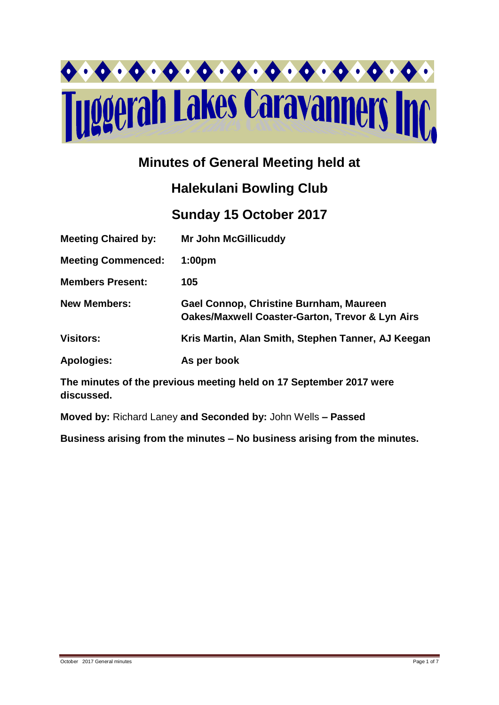

## **Minutes of General Meeting held at**

# **Halekulani Bowling Club**

## **Sunday 15 October 2017**

| <b>Meeting Chaired by:</b> | <b>Mr John McGillicuddy</b>                                                                           |
|----------------------------|-------------------------------------------------------------------------------------------------------|
| <b>Meeting Commenced:</b>  | 1:00 <sub>pm</sub>                                                                                    |
| <b>Members Present:</b>    | 105                                                                                                   |
| <b>New Members:</b>        | Gael Connop, Christine Burnham, Maureen<br><b>Oakes/Maxwell Coaster-Garton, Trevor &amp; Lyn Airs</b> |
| <b>Visitors:</b>           | Kris Martin, Alan Smith, Stephen Tanner, AJ Keegan                                                    |
| <b>Apologies:</b>          | As per book                                                                                           |

**The minutes of the previous meeting held on 17 September 2017 were discussed.**

**Moved by:** Richard Laney **and Seconded by:** John Wells **– Passed** 

**Business arising from the minutes – No business arising from the minutes.**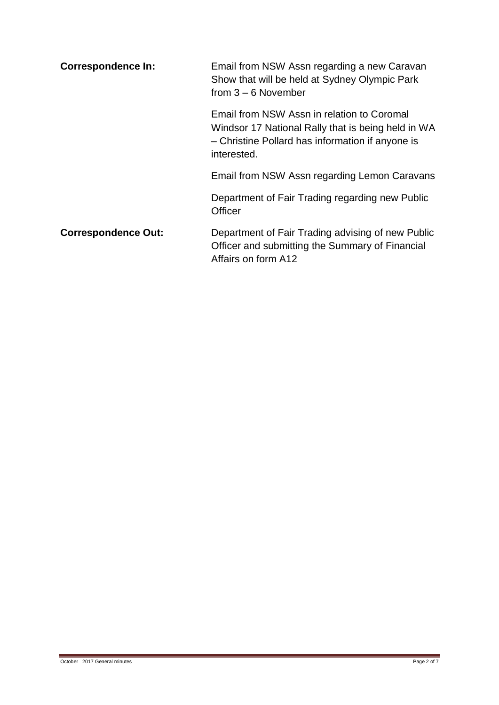| <b>Correspondence In:</b>  | Email from NSW Assn regarding a new Caravan<br>Show that will be held at Sydney Olympic Park<br>from $3 - 6$ November                                               |  |  |
|----------------------------|---------------------------------------------------------------------------------------------------------------------------------------------------------------------|--|--|
|                            | Email from NSW Assn in relation to Coromal<br>Windsor 17 National Rally that is being held in WA<br>- Christine Pollard has information if anyone is<br>interested. |  |  |
|                            | Email from NSW Assn regarding Lemon Caravans                                                                                                                        |  |  |
|                            | Department of Fair Trading regarding new Public<br>Officer                                                                                                          |  |  |
| <b>Correspondence Out:</b> | Department of Fair Trading advising of new Public<br>Officer and submitting the Summary of Financial<br>Affairs on form A12                                         |  |  |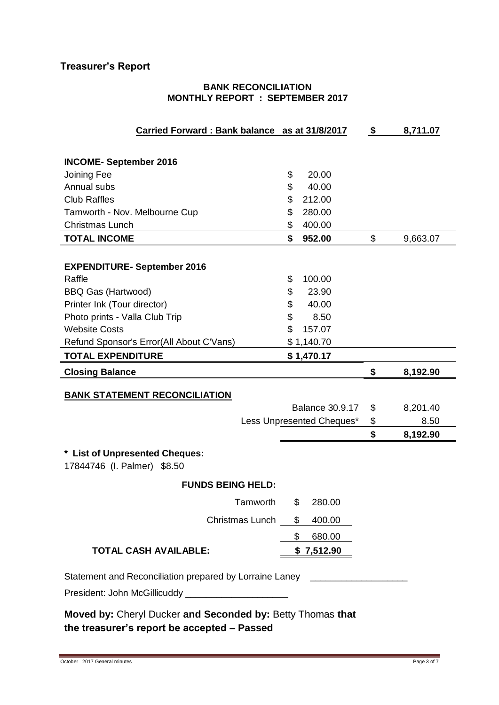## **Treasurer's Report**

#### **BANK RECONCILIATION MONTHLY REPORT : SEPTEMBER 2017**

| Carried Forward: Bank balance as at 31/8/2017              |                           | S. | 8,711.07 |
|------------------------------------------------------------|---------------------------|----|----------|
|                                                            |                           |    |          |
| <b>INCOME-September 2016</b>                               |                           |    |          |
| Joining Fee                                                | \$<br>20.00               |    |          |
| Annual subs                                                | \$<br>40.00               |    |          |
| <b>Club Raffles</b>                                        | \$<br>212.00              |    |          |
| Tamworth - Nov. Melbourne Cup                              | \$<br>280.00              |    |          |
| <b>Christmas Lunch</b>                                     | \$<br>400.00              |    |          |
| <b>TOTAL INCOME</b>                                        | \$<br>952.00              | \$ | 9,663.07 |
|                                                            |                           |    |          |
| <b>EXPENDITURE- September 2016</b>                         |                           |    |          |
| Raffle                                                     | \$<br>100.00              |    |          |
| <b>BBQ Gas (Hartwood)</b>                                  | \$<br>23.90               |    |          |
| Printer Ink (Tour director)                                | \$<br>40.00               |    |          |
| Photo prints - Valla Club Trip                             | \$<br>8.50                |    |          |
| <b>Website Costs</b>                                       | \$<br>157.07              |    |          |
| Refund Sponsor's Error(All About C'Vans)                   | \$1,140.70                |    |          |
| <b>TOTAL EXPENDITURE</b>                                   | \$1,470.17                |    |          |
| <b>Closing Balance</b>                                     |                           | \$ | 8,192.90 |
|                                                            |                           |    |          |
| <b>BANK STATEMENT RECONCILIATION</b>                       |                           |    |          |
|                                                            | <b>Balance 30.9.17</b>    | \$ | 8,201.40 |
|                                                            | Less Unpresented Cheques* | \$ | 8.50     |
|                                                            |                           | \$ | 8,192.90 |
| * List of Unpresented Cheques:                             |                           |    |          |
| 17844746 (I. Palmer) \$8.50                                |                           |    |          |
| <b>FUNDS BEING HELD:</b>                                   |                           |    |          |
| Tamworth                                                   | \$<br>280.00              |    |          |
| Christmas Lunch                                            | \$<br>400.00              |    |          |
|                                                            | \$<br>680.00              |    |          |
| <b>TOTAL CASH AVAILABLE:</b>                               | \$7,512.90                |    |          |
| Statement and Reconciliation prepared by Lorraine Laney    |                           |    |          |
| President: John McGillicuddy _______________________       |                           |    |          |
|                                                            |                           |    |          |
| Moved by: Cheryl Ducker and Seconded by: Betty Thomas that |                           |    |          |

**the treasurer's report be accepted – Passed**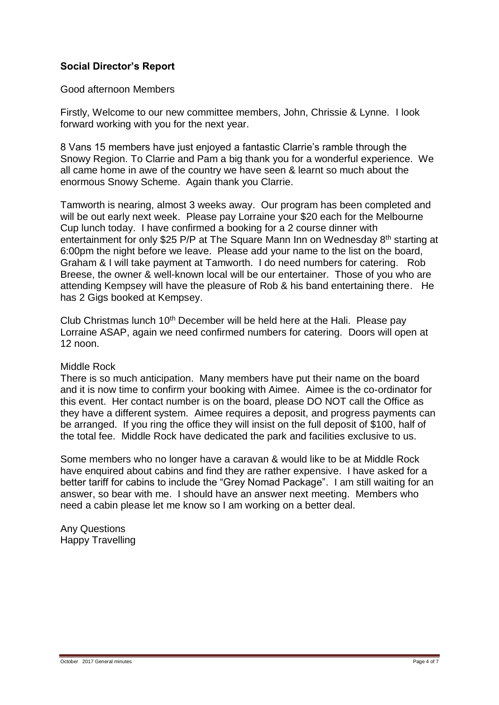### **Social Director's Report**

Good afternoon Members

Firstly, Welcome to our new committee members, John, Chrissie & Lynne. I look forward working with you for the next year.

8 Vans 15 members have just enjoyed a fantastic Clarrie's ramble through the Snowy Region. To Clarrie and Pam a big thank you for a wonderful experience. We all came home in awe of the country we have seen & learnt so much about the enormous Snowy Scheme. Again thank you Clarrie.

Tamworth is nearing, almost 3 weeks away. Our program has been completed and will be out early next week. Please pay Lorraine your \$20 each for the Melbourne Cup lunch today. I have confirmed a booking for a 2 course dinner with entertainment for only \$25 P/P at The Square Mann Inn on Wednesday 8<sup>th</sup> starting at 6:00pm the night before we leave. Please add your name to the list on the board, Graham & I will take payment at Tamworth. I do need numbers for catering. Rob Breese, the owner & well-known local will be our entertainer. Those of you who are attending Kempsey will have the pleasure of Rob & his band entertaining there. He has 2 Gigs booked at Kempsey.

Club Christmas lunch 10<sup>th</sup> December will be held here at the Hali. Please pay Lorraine ASAP, again we need confirmed numbers for catering. Doors will open at 12 noon.

#### Middle Rock

There is so much anticipation. Many members have put their name on the board and it is now time to confirm your booking with Aimee. Aimee is the co-ordinator for this event. Her contact number is on the board, please DO NOT call the Office as they have a different system. Aimee requires a deposit, and progress payments can be arranged. If you ring the office they will insist on the full deposit of \$100, half of the total fee. Middle Rock have dedicated the park and facilities exclusive to us.

Some members who no longer have a caravan & would like to be at Middle Rock have enquired about cabins and find they are rather expensive. I have asked for a better tariff for cabins to include the "Grey Nomad Package". I am still waiting for an answer, so bear with me. I should have an answer next meeting. Members who need a cabin please let me know so I am working on a better deal.

Any Questions Happy Travelling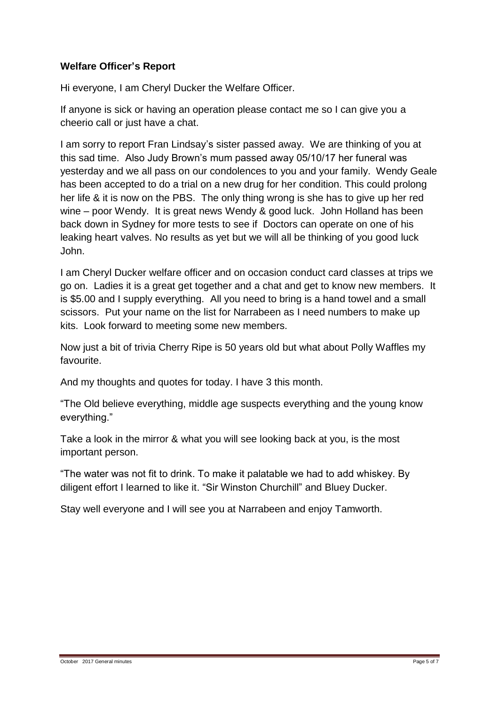### **Welfare Officer's Report**

Hi everyone, I am Cheryl Ducker the Welfare Officer.

If anyone is sick or having an operation please contact me so I can give you a cheerio call or just have a chat.

I am sorry to report Fran Lindsay's sister passed away. We are thinking of you at this sad time. Also Judy Brown's mum passed away 05/10/17 her funeral was yesterday and we all pass on our condolences to you and your family. Wendy Geale has been accepted to do a trial on a new drug for her condition. This could prolong her life & it is now on the PBS. The only thing wrong is she has to give up her red wine – poor Wendy. It is great news Wendy & good luck. John Holland has been back down in Sydney for more tests to see if Doctors can operate on one of his leaking heart valves. No results as yet but we will all be thinking of you good luck John.

I am Cheryl Ducker welfare officer and on occasion conduct card classes at trips we go on. Ladies it is a great get together and a chat and get to know new members. It is \$5.00 and I supply everything. All you need to bring is a hand towel and a small scissors. Put your name on the list for Narrabeen as I need numbers to make up kits. Look forward to meeting some new members.

Now just a bit of trivia Cherry Ripe is 50 years old but what about Polly Waffles my favourite.

And my thoughts and quotes for today. I have 3 this month.

"The Old believe everything, middle age suspects everything and the young know everything."

Take a look in the mirror & what you will see looking back at you, is the most important person.

"The water was not fit to drink. To make it palatable we had to add whiskey. By diligent effort I learned to like it. "Sir Winston Churchill" and Bluey Ducker.

Stay well everyone and I will see you at Narrabeen and enjoy Tamworth.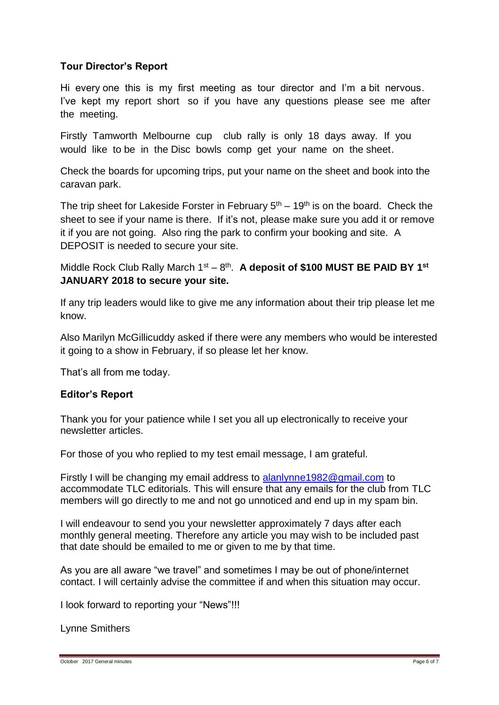#### **Tour Director's Report**

Hi every one this is my first meeting as tour director and I'm a bit nervous. I've kept my report short so if you have any questions please see me after the meeting.

Firstly Tamworth Melbourne cup club rally is only 18 days away. If you would like to be in the Disc bowls comp get your name on the sheet.

Check the boards for upcoming trips, put your name on the sheet and book into the caravan park.

The trip sheet for Lakeside Forster in February  $5<sup>th</sup> - 19<sup>th</sup>$  is on the board. Check the sheet to see if your name is there. If it's not, please make sure you add it or remove it if you are not going. Also ring the park to confirm your booking and site. A DEPOSIT is needed to secure your site.

Middle Rock Club Rally March 1<sup>st</sup> – 8<sup>th</sup>. A deposit of \$100 MUST BE PAID BY 1<sup>st</sup> **JANUARY 2018 to secure your site.**

If any trip leaders would like to give me any information about their trip please let me know.

Also Marilyn McGillicuddy asked if there were any members who would be interested it going to a show in February, if so please let her know.

That's all from me today.

#### **Editor's Report**

Thank you for your patience while I set you all up electronically to receive your newsletter articles.

For those of you who replied to my test email message, I am grateful.

Firstly I will be changing my email address to [alanlynne1982@gmail.com](mailto:alanlynne1982@gmail.com) to accommodate TLC editorials. This will ensure that any emails for the club from TLC members will go directly to me and not go unnoticed and end up in my spam bin.

I will endeavour to send you your newsletter approximately 7 days after each monthly general meeting. Therefore any article you may wish to be included past that date should be emailed to me or given to me by that time.

As you are all aware "we travel" and sometimes I may be out of phone/internet contact. I will certainly advise the committee if and when this situation may occur.

I look forward to reporting your "News"!!!

Lynne Smithers